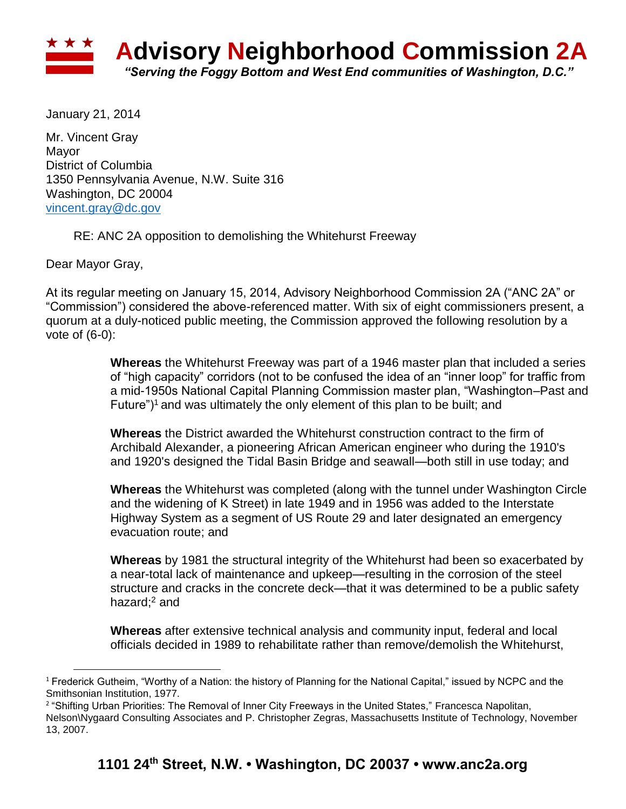

January 21, 2014

Mr. Vincent Gray Mayor District of Columbia 1350 Pennsylvania Avenue, N.W. Suite 316 Washington, DC 20004 [vincent.gray@dc.gov](mailto:vincent.gray@dc.gov)

RE: ANC 2A opposition to demolishing the Whitehurst Freeway

Dear Mayor Gray,

 $\overline{a}$ 

At its regular meeting on January 15, 2014, Advisory Neighborhood Commission 2A ("ANC 2A" or "Commission") considered the above-referenced matter. With six of eight commissioners present, a quorum at a duly-noticed public meeting, the Commission approved the following resolution by a vote of (6-0):

> **Whereas** the Whitehurst Freeway was part of a 1946 master plan that included a series of "high capacity" corridors (not to be confused the idea of an "inner loop" for traffic from a mid-1950s National Capital Planning Commission master plan, "Washington–Past and Future")<sup>1</sup> and was ultimately the only element of this plan to be built; and

**Whereas** the District awarded the Whitehurst construction contract to the firm of Archibald Alexander, a pioneering African American engineer who during the 1910's and 1920's designed the Tidal Basin Bridge and seawall—both still in use today; and

**Whereas** the Whitehurst was completed (along with the tunnel under Washington Circle and the widening of K Street) in late 1949 and in 1956 was added to the Interstate Highway System as a segment of US Route 29 and later designated an emergency evacuation route; and

**Whereas** by 1981 the structural integrity of the Whitehurst had been so exacerbated by a near-total lack of maintenance and upkeep—resulting in the corrosion of the steel structure and cracks in the concrete deck—that it was determined to be a public safety hazard:<sup>2</sup> and

**Whereas** after extensive technical analysis and community input, federal and local officials decided in 1989 to rehabilitate rather than remove/demolish the Whitehurst,

<sup>&</sup>lt;sup>1</sup> Frederick Gutheim, "Worthy of a Nation: the history of Planning for the National Capital," issued by NCPC and the Smithsonian Institution, 1977.

<sup>2</sup> "Shifting Urban Priorities: The Removal of Inner City Freeways in the United States," Francesca Napolitan, Nelson\Nygaard Consulting Associates and P. Christopher Zegras, Massachusetts Institute of Technology, November 13, 2007.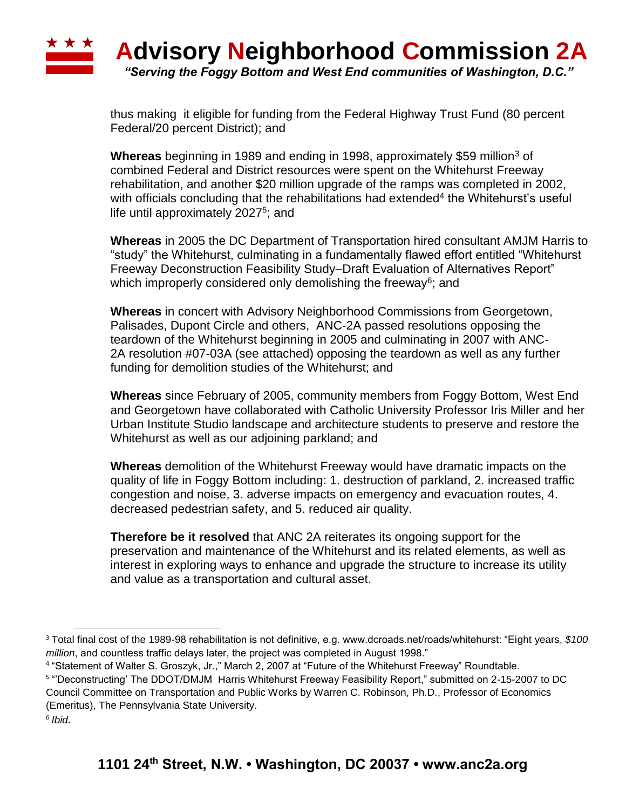

thus making it eligible for funding from the Federal Highway Trust Fund (80 percent Federal/20 percent District); and

**Whereas** beginning in 1989 and ending in 1998, approximately \$59 million<sup>3</sup> of combined Federal and District resources were spent on the Whitehurst Freeway rehabilitation, and another \$20 million upgrade of the ramps was completed in 2002, with officials concluding that the rehabilitations had extended<sup>4</sup> the Whitehurst's useful life until approximately 2027<sup>5</sup>; and

**Whereas** in 2005 the DC Department of Transportation hired consultant AMJM Harris to "study" the Whitehurst, culminating in a fundamentally flawed effort entitled "Whitehurst Freeway Deconstruction Feasibility Study–Draft Evaluation of Alternatives Report" which improperly considered only demolishing the freeway<sup>6</sup>; and

**Whereas** in concert with Advisory Neighborhood Commissions from Georgetown, Palisades, Dupont Circle and others, ANC-2A passed resolutions opposing the teardown of the Whitehurst beginning in 2005 and culminating in 2007 with ANC-2A resolution #07-03A (see attached) opposing the teardown as well as any further funding for demolition studies of the Whitehurst; and

**Whereas** since February of 2005, community members from Foggy Bottom, West End and Georgetown have collaborated with Catholic University Professor Iris Miller and her Urban Institute Studio landscape and architecture students to preserve and restore the Whitehurst as well as our adjoining parkland; and

**Whereas** demolition of the Whitehurst Freeway would have dramatic impacts on the quality of life in Foggy Bottom including: 1. destruction of parkland, 2. increased traffic congestion and noise, 3. adverse impacts on emergency and evacuation routes, 4. decreased pedestrian safety, and 5. reduced air quality.

**Therefore be it resolved** that ANC 2A reiterates its ongoing support for the preservation and maintenance of the Whitehurst and its related elements, as well as interest in exploring ways to enhance and upgrade the structure to increase its utility and value as a transportation and cultural asset.

4 "Statement of Walter S. Groszyk, Jr.," March 2, 2007 at "Future of the Whitehurst Freeway" Roundtable.

l

<sup>3</sup> Total final cost of the 1989-98 rehabilitation is not definitive, e.g. www.dcroads.net/roads/whitehurst: "Eight years, *\$100 million*, and countless traffic delays later, the project was completed in August 1998."

<sup>5</sup> "'Deconstructing' The DDOT/DMJM Harris Whitehurst Freeway Feasibility Report," submitted on 2-15-2007 to DC Council Committee on Transportation and Public Works by Warren C. Robinson, Ph.D., Professor of Economics (Emeritus), The Pennsylvania State University.

<sup>6</sup> *Ibid.*